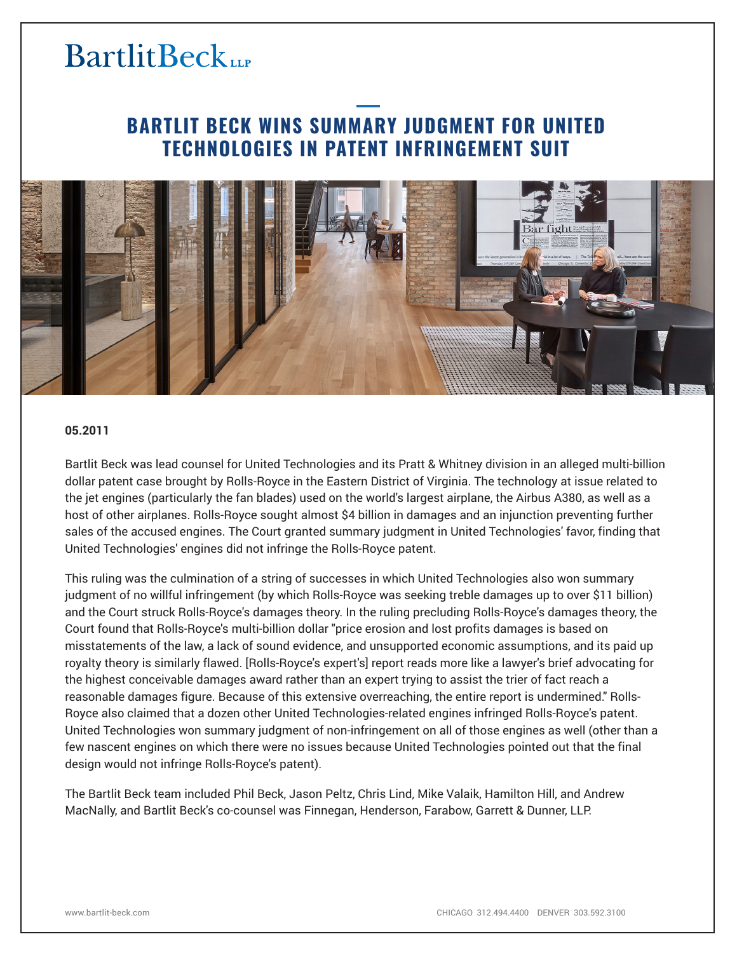# **BartlitBeck**

### **BARTLIT BECK WINS SUMMARY JUDGMENT FOR UNITED TECHNOLOGIES IN PATENT INFRINGEMENT SUIT**



#### **05.2011**

Bartlit Beck was lead counsel for United Technologies and its Pratt & Whitney division in an alleged multi-billion dollar patent case brought by Rolls-Royce in the Eastern District of Virginia. The technology at issue related to the jet engines (particularly the fan blades) used on the world's largest airplane, the Airbus A380, as well as a host of other airplanes. Rolls-Royce sought almost \$4 billion in damages and an injunction preventing further sales of the accused engines. The Court granted summary judgment in United Technologies' favor, finding that United Technologies' engines did not infringe the Rolls-Royce patent.

This ruling was the culmination of a string of successes in which United Technologies also won summary judgment of no willful infringement (by which Rolls-Royce was seeking treble damages up to over \$11 billion) and the Court struck Rolls-Royce's damages theory. In the ruling precluding Rolls-Royce's damages theory, the Court found that Rolls-Royce's multi-billion dollar "price erosion and lost profits damages is based on misstatements of the law, a lack of sound evidence, and unsupported economic assumptions, and its paid up royalty theory is similarly flawed. [Rolls-Royce's expert's] report reads more like a lawyer's brief advocating for the highest conceivable damages award rather than an expert trying to assist the trier of fact reach a reasonable damages figure. Because of this extensive overreaching, the entire report is undermined." Rolls-Royce also claimed that a dozen other United Technologies-related engines infringed Rolls-Royce's patent. United Technologies won summary judgment of non-infringement on all of those engines as well (other than a few nascent engines on which there were no issues because United Technologies pointed out that the final design would not infringe Rolls-Royce's patent).

The Bartlit Beck team included Phil Beck, Jason Peltz, Chris Lind, Mike Valaik, Hamilton Hill, and Andrew MacNally, and Bartlit Beck's co-counsel was Finnegan, Henderson, Farabow, Garrett & Dunner, LLP.